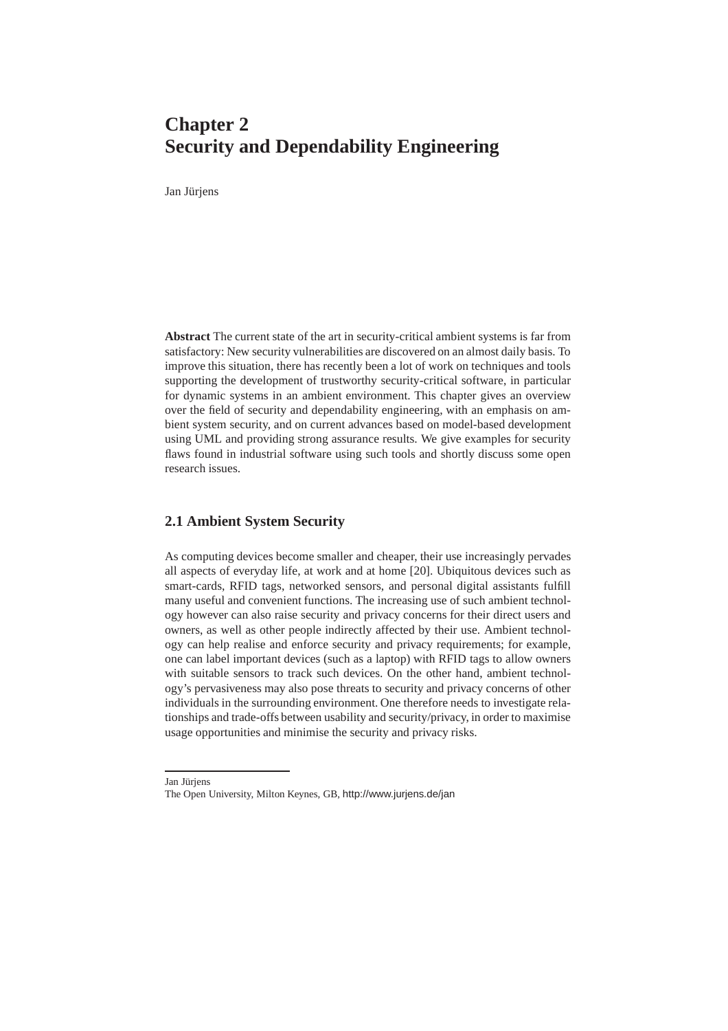# **Chapter 2 Security and Dependability Engineering**

Jan Jürjens

**Abstract** The current state of the art in security-critical ambient systems is far from satisfactory: New security vulnerabilities are discovered on an almost daily basis. To improve this situation, there has recently been a lot of work on techniques and tools supporting the development of trustworthy security-critical software, in particular for dynamic systems in an ambient environment. This chapter gives an overview over the field of security and dependability engineering, with an emphasis on ambient system security, and on current advances based on model-based development using UML and providing strong assurance results. We give examples for security flaws found in industrial software using such tools and shortly discuss some open research issues.

### **2.1 Ambient System Security**

As computing devices become smaller and cheaper, their use increasingly pervades all aspects of everyday life, at work and at home [20]. Ubiquitous devices such as smart-cards, RFID tags, networked sensors, and personal digital assistants fulfill many useful and convenient functions. The increasing use of such ambient technology however can also raise security and privacy concerns for their direct users and owners, as well as other people indirectly affected by their use. Ambient technology can help realise and enforce security and privacy requirements; for example, one can label important devices (such as a laptop) with RFID tags to allow owners with suitable sensors to track such devices. On the other hand, ambient technology's pervasiveness may also pose threats to security and privacy concerns of other individuals in the surrounding environment. One therefore needs to investigate relationships and trade-offs between usability and security/privacy, in order to maximise usage opportunities and minimise the security and privacy risks.

Jan Jüriens

The Open University, Milton Keynes, GB, http://www.jurjens.de/jan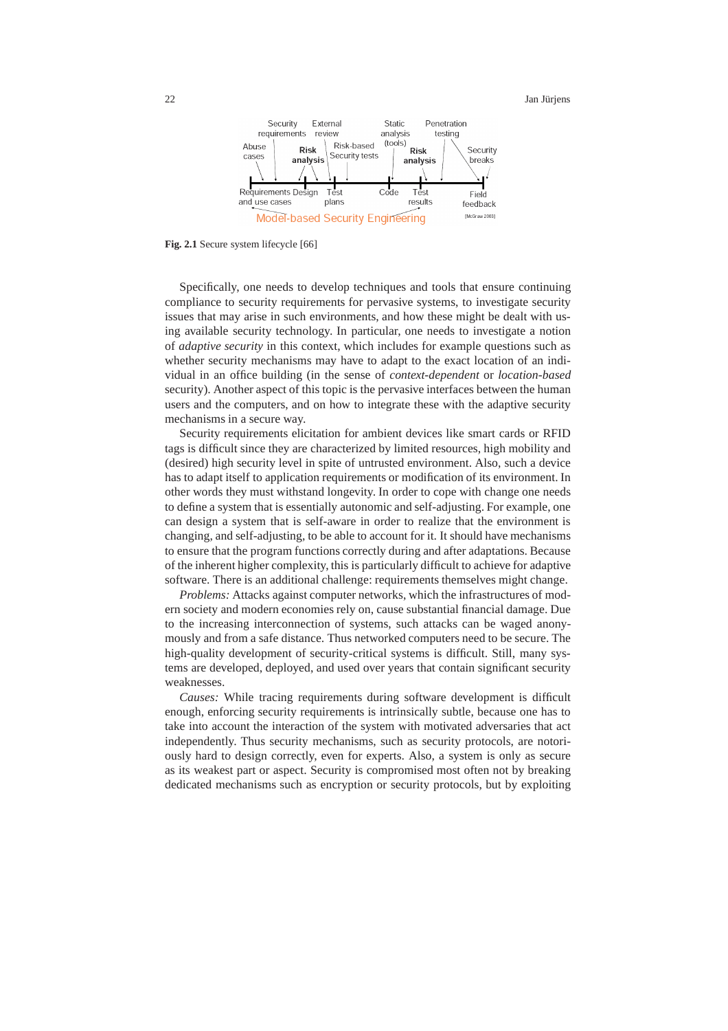

Fig. 2.1 Secure system lifecycle [66]

Specifically, one needs to develop techniques and tools that ensure continuing compliance to security requirements for pervasive systems, to investigate security issues that may arise in such environments, and how these might be dealt with using available security technology. In particular, one needs to investigate a notion of *adaptive security* in this context, which includes for example questions such as whether security mechanisms may have to adapt to the exact location of an individual in an office building (in the sense of *context-dependent* or *location-based* security). Another aspect of this topic is the pervasive interfaces between the human users and the computers, and on how to integrate these with the adaptive security mechanisms in a secure way.

Security requirements elicitation for ambient devices like smart cards or RFID tags is difficult since they are characterized by limited resources, high mobility and (desired) high security level in spite of untrusted environment. Also, such a device has to adapt itself to application requirements or modification of its environment. In other words they must withstand longevity. In order to cope with change one needs to define a system that is essentially autonomic and self-adjusting. For example, one can design a system that is self-aware in order to realize that the environment is changing, and self-adjusting, to be able to account for it. It should have mechanisms to ensure that the program functions correctly during and after adaptations. Because of the inherent higher complexity, this is particularly difficult to achieve for adaptive software. There is an additional challenge: requirements themselves might change.

*Problems:* Attacks against computer networks, which the infrastructures of modern society and modern economies rely on, cause substantial financial damage. Due to the increasing interconnection of systems, such attacks can be waged anonymously and from a safe distance. Thus networked computers need to be secure. The high-quality development of security-critical systems is difficult. Still, many systems are developed, deployed, and used over years that contain significant security weaknesses.

*Causes:* While tracing requirements during software development is difficult enough, enforcing security requirements is intrinsically subtle, because one has to take into account the interaction of the system with motivated adversaries that act independently. Thus security mechanisms, such as security protocols, are notoriously hard to design correctly, even for experts. Also, a system is only as secure as its weakest part or aspect. Security is compromised most often not by breaking dedicated mechanisms such as encryption or security protocols, but by exploiting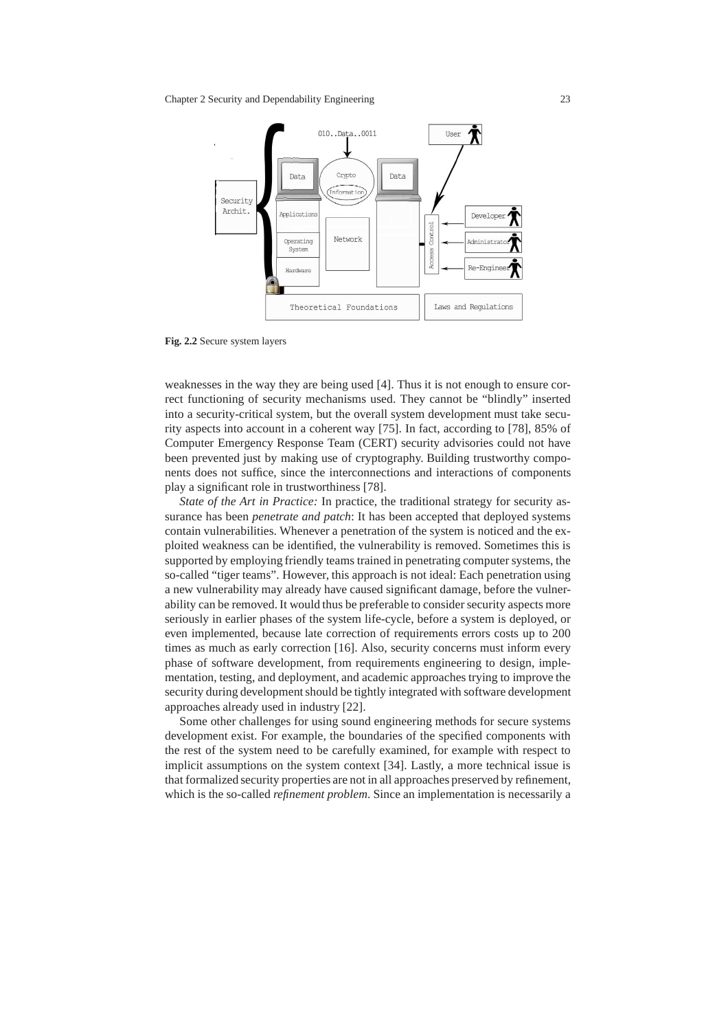

**Fig. 2.2** Secure system layers

weaknesses in the way they are being used [4]. Thus it is not enough to ensure correct functioning of security mechanisms used. They cannot be "blindly" inserted into a security-critical system, but the overall system development must take security aspects into account in a coherent way [75]. In fact, according to [78], 85% of Computer Emergency Response Team (CERT) security advisories could not have been prevented just by making use of cryptography. Building trustworthy components does not suffice, since the interconnections and interactions of components play a significant role in trustworthiness [78].

*State of the Art in Practice:* In practice, the traditional strategy for security assurance has been *penetrate and patch*: It has been accepted that deployed systems contain vulnerabilities. Whenever a penetration of the system is noticed and the exploited weakness can be identified, the vulnerability is removed. Sometimes this is supported by employing friendly teams trained in penetrating computer systems, the so-called "tiger teams". However, this approach is not ideal: Each penetration using a new vulnerability may already have caused significant damage, before the vulnerability can be removed. It would thus be preferable to consider security aspects more seriously in earlier phases of the system life-cycle, before a system is deployed, or even implemented, because late correction of requirements errors costs up to 200 times as much as early correction [16]. Also, security concerns must inform every phase of software development, from requirements engineering to design, implementation, testing, and deployment, and academic approaches trying to improve the security during development should be tightly integrated with software development approaches already used in industry [22].

Some other challenges for using sound engineering methods for secure systems development exist. For example, the boundaries of the specified components with the rest of the system need to be carefully examined, for example with respect to implicit assumptions on the system context [34]. Lastly, a more technical issue is that formalized security properties are not in all approaches preserved by refinement, which is the so-called *refinement problem*. Since an implementation is necessarily a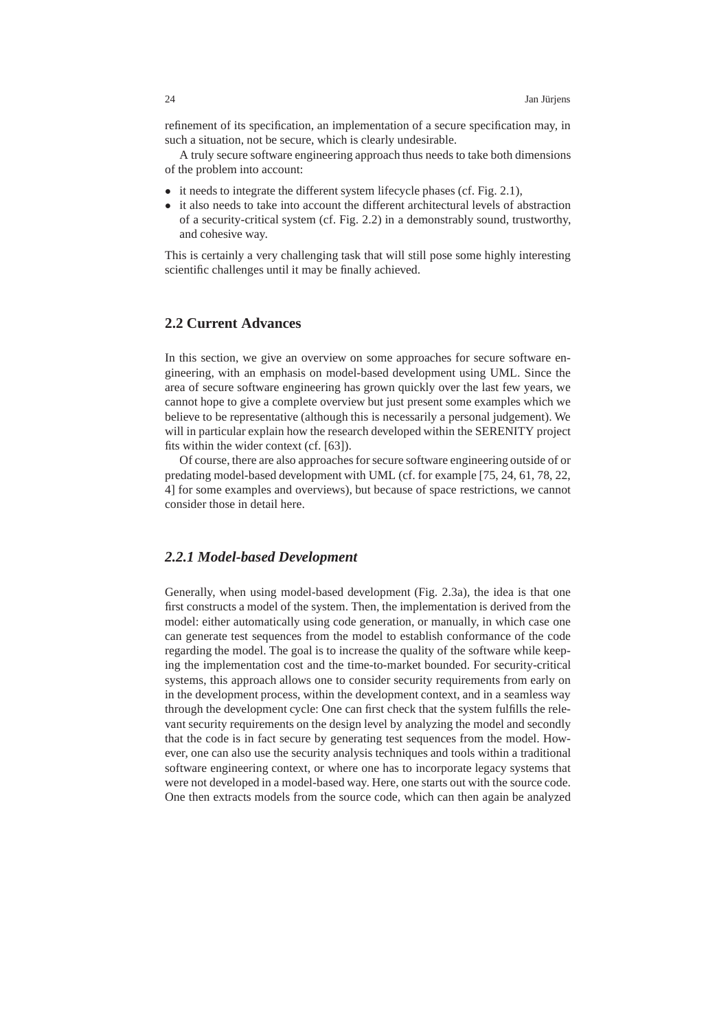refinement of its specification, an implementation of a secure specification may, in such a situation, not be secure, which is clearly undesirable.

A truly secure software engineering approach thus needs to take both dimensions of the problem into account:

- it needs to integrate the different system lifecycle phases (cf. Fig. 2.1),
- it also needs to take into account the different architectural levels of abstraction of a security-critical system (cf. Fig. 2.2) in a demonstrably sound, trustworthy, and cohesive way.

This is certainly a very challenging task that will still pose some highly interesting scientific challenges until it may be finally achieved.

### **2.2 Current Advances**

In this section, we give an overview on some approaches for secure software engineering, with an emphasis on model-based development using UML. Since the area of secure software engineering has grown quickly over the last few years, we cannot hope to give a complete overview but just present some examples which we believe to be representative (although this is necessarily a personal judgement). We will in particular explain how the research developed within the SERENITY project fits within the wider context (cf. [63]).

Of course, there are also approaches for secure software engineering outside of or predating model-based development with UML (cf. for example [75, 24, 61, 78, 22, 4] for some examples and overviews), but because of space restrictions, we cannot consider those in detail here.

### *2.2.1 Model-based Development*

Generally, when using model-based development (Fig. 2.3a), the idea is that one first constructs a model of the system. Then, the implementation is derived from the model: either automatically using code generation, or manually, in which case one can generate test sequences from the model to establish conformance of the code regarding the model. The goal is to increase the quality of the software while keeping the implementation cost and the time-to-market bounded. For security-critical systems, this approach allows one to consider security requirements from early on in the development process, within the development context, and in a seamless way through the development cycle: One can first check that the system fulfills the relevant security requirements on the design level by analyzing the model and secondly that the code is in fact secure by generating test sequences from the model. However, one can also use the security analysis techniques and tools within a traditional software engineering context, or where one has to incorporate legacy systems that were not developed in a model-based way. Here, one starts out with the source code. One then extracts models from the source code, which can then again be analyzed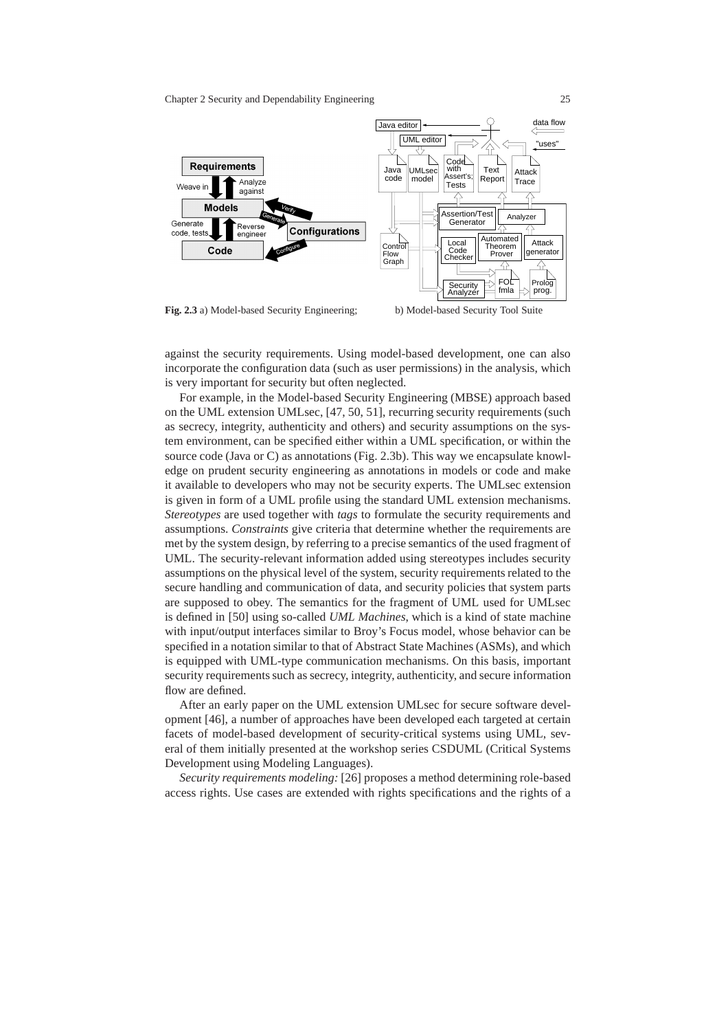

**Fig. 2.3** a) Model-based Security Engineering; b) Model-based Security Tool Suite

against the security requirements. Using model-based development, one can also incorporate the configuration data (such as user permissions) in the analysis, which is very important for security but often neglected.

For example, in the Model-based Security Engineering (MBSE) approach based on the UML extension UMLsec, [47, 50, 51], recurring security requirements (such as secrecy, integrity, authenticity and others) and security assumptions on the system environment, can be specified either within a UML specification, or within the source code (Java or C) as annotations (Fig. 2.3b). This way we encapsulate knowledge on prudent security engineering as annotations in models or code and make it available to developers who may not be security experts. The UMLsec extension is given in form of a UML profile using the standard UML extension mechanisms. *Stereotypes* are used together with *tags* to formulate the security requirements and assumptions. *Constraints* give criteria that determine whether the requirements are met by the system design, by referring to a precise semantics of the used fragment of UML. The security-relevant information added using stereotypes includes security assumptions on the physical level of the system, security requirements related to the secure handling and communication of data, and security policies that system parts are supposed to obey. The semantics for the fragment of UML used for UMLsec is defined in [50] using so-called *UML Machines*, which is a kind of state machine with input/output interfaces similar to Broy's Focus model, whose behavior can be specified in a notation similar to that of Abstract State Machines (ASMs), and which is equipped with UML-type communication mechanisms. On this basis, important security requirements such as secrecy, integrity, authenticity, and secure information flow are defined.

After an early paper on the UML extension UMLsec for secure software development [46], a number of approaches have been developed each targeted at certain facets of model-based development of security-critical systems using UML, several of them initially presented at the workshop series CSDUML (Critical Systems Development using Modeling Languages).

*Security requirements modeling:* [26] proposes a method determining role-based access rights. Use cases are extended with rights specifications and the rights of a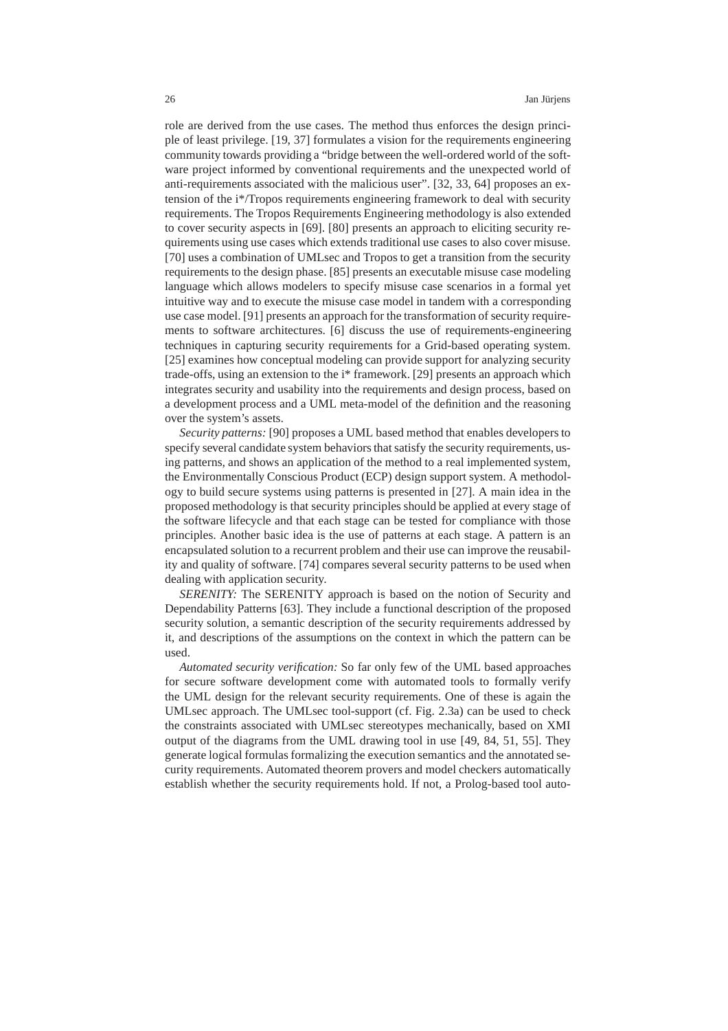role are derived from the use cases. The method thus enforces the design principle of least privilege. [19, 37] formulates a vision for the requirements engineering community towards providing a "bridge between the well-ordered world of the software project informed by conventional requirements and the unexpected world of anti-requirements associated with the malicious user". [32, 33, 64] proposes an extension of the i\*/Tropos requirements engineering framework to deal with security requirements. The Tropos Requirements Engineering methodology is also extended to cover security aspects in [69]. [80] presents an approach to eliciting security requirements using use cases which extends traditional use cases to also cover misuse. [70] uses a combination of UMLsec and Tropos to get a transition from the security requirements to the design phase. [85] presents an executable misuse case modeling language which allows modelers to specify misuse case scenarios in a formal yet intuitive way and to execute the misuse case model in tandem with a corresponding use case model. [91] presents an approach for the transformation of security requirements to software architectures. [6] discuss the use of requirements-engineering techniques in capturing security requirements for a Grid-based operating system. [25] examines how conceptual modeling can provide support for analyzing security trade-offs, using an extension to the i\* framework. [29] presents an approach which integrates security and usability into the requirements and design process, based on a development process and a UML meta-model of the definition and the reasoning over the system's assets.

*Security patterns:* [90] proposes a UML based method that enables developers to specify several candidate system behaviors that satisfy the security requirements, using patterns, and shows an application of the method to a real implemented system, the Environmentally Conscious Product (ECP) design support system. A methodology to build secure systems using patterns is presented in [27]. A main idea in the proposed methodology is that security principles should be applied at every stage of the software lifecycle and that each stage can be tested for compliance with those principles. Another basic idea is the use of patterns at each stage. A pattern is an encapsulated solution to a recurrent problem and their use can improve the reusability and quality of software. [74] compares several security patterns to be used when dealing with application security.

*SERENITY:* The SERENITY approach is based on the notion of Security and Dependability Patterns [63]. They include a functional description of the proposed security solution, a semantic description of the security requirements addressed by it, and descriptions of the assumptions on the context in which the pattern can be used.

*Automated security verification:* So far only few of the UML based approaches for secure software development come with automated tools to formally verify the UML design for the relevant security requirements. One of these is again the UMLsec approach. The UMLsec tool-support (cf. Fig. 2.3a) can be used to check the constraints associated with UMLsec stereotypes mechanically, based on XMI output of the diagrams from the UML drawing tool in use [49, 84, 51, 55]. They generate logical formulas formalizing the execution semantics and the annotated security requirements. Automated theorem provers and model checkers automatically establish whether the security requirements hold. If not, a Prolog-based tool auto-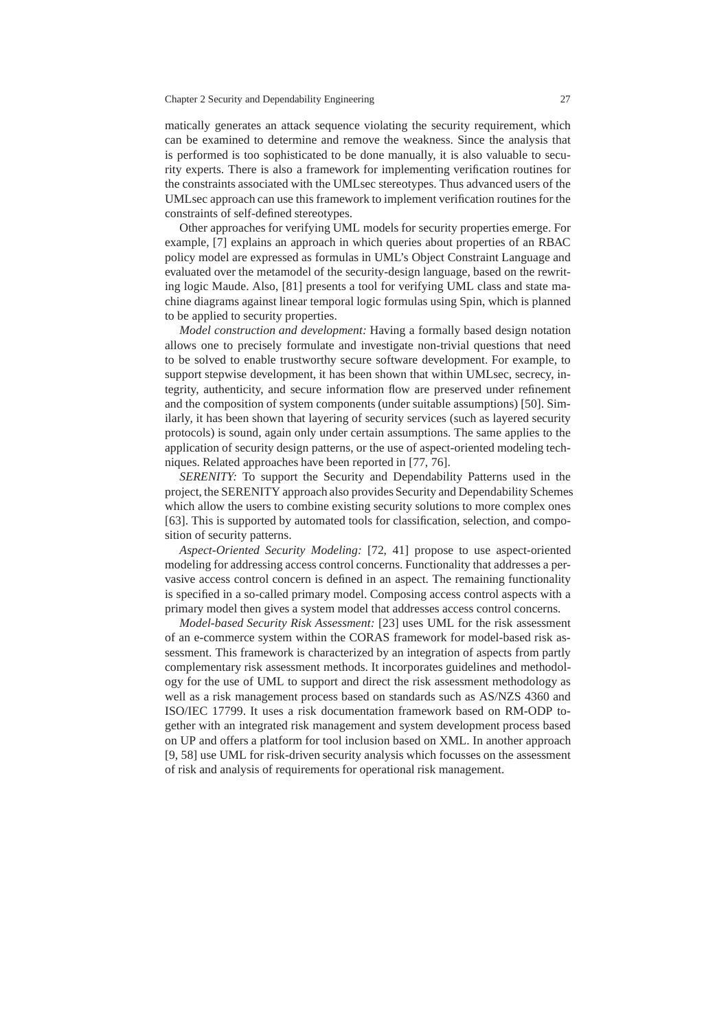#### Chapter 2 Security and Dependability Engineering 27

matically generates an attack sequence violating the security requirement, which can be examined to determine and remove the weakness. Since the analysis that is performed is too sophisticated to be done manually, it is also valuable to security experts. There is also a framework for implementing verification routines for the constraints associated with the UMLsec stereotypes. Thus advanced users of the UMLsec approach can use this framework to implement verification routines for the constraints of self-defined stereotypes.

Other approaches for verifying UML models for security properties emerge. For example, [7] explains an approach in which queries about properties of an RBAC policy model are expressed as formulas in UML's Object Constraint Language and evaluated over the metamodel of the security-design language, based on the rewriting logic Maude. Also, [81] presents a tool for verifying UML class and state machine diagrams against linear temporal logic formulas using Spin, which is planned to be applied to security properties.

*Model construction and development:* Having a formally based design notation allows one to precisely formulate and investigate non-trivial questions that need to be solved to enable trustworthy secure software development. For example, to support stepwise development, it has been shown that within UMLsec, secrecy, integrity, authenticity, and secure information flow are preserved under refinement and the composition of system components (under suitable assumptions) [50]. Similarly, it has been shown that layering of security services (such as layered security protocols) is sound, again only under certain assumptions. The same applies to the application of security design patterns, or the use of aspect-oriented modeling techniques. Related approaches have been reported in [77, 76].

*SERENITY:* To support the Security and Dependability Patterns used in the project, the SERENITY approach also provides Security and Dependability Schemes which allow the users to combine existing security solutions to more complex ones [63]. This is supported by automated tools for classification, selection, and composition of security patterns.

*Aspect-Oriented Security Modeling:* [72, 41] propose to use aspect-oriented modeling for addressing access control concerns. Functionality that addresses a pervasive access control concern is defined in an aspect. The remaining functionality is specified in a so-called primary model. Composing access control aspects with a primary model then gives a system model that addresses access control concerns.

*Model-based Security Risk Assessment:* [23] uses UML for the risk assessment of an e-commerce system within the CORAS framework for model-based risk assessment. This framework is characterized by an integration of aspects from partly complementary risk assessment methods. It incorporates guidelines and methodology for the use of UML to support and direct the risk assessment methodology as well as a risk management process based on standards such as AS/NZS 4360 and ISO/IEC 17799. It uses a risk documentation framework based on RM-ODP together with an integrated risk management and system development process based on UP and offers a platform for tool inclusion based on XML. In another approach [9, 58] use UML for risk-driven security analysis which focusses on the assessment of risk and analysis of requirements for operational risk management.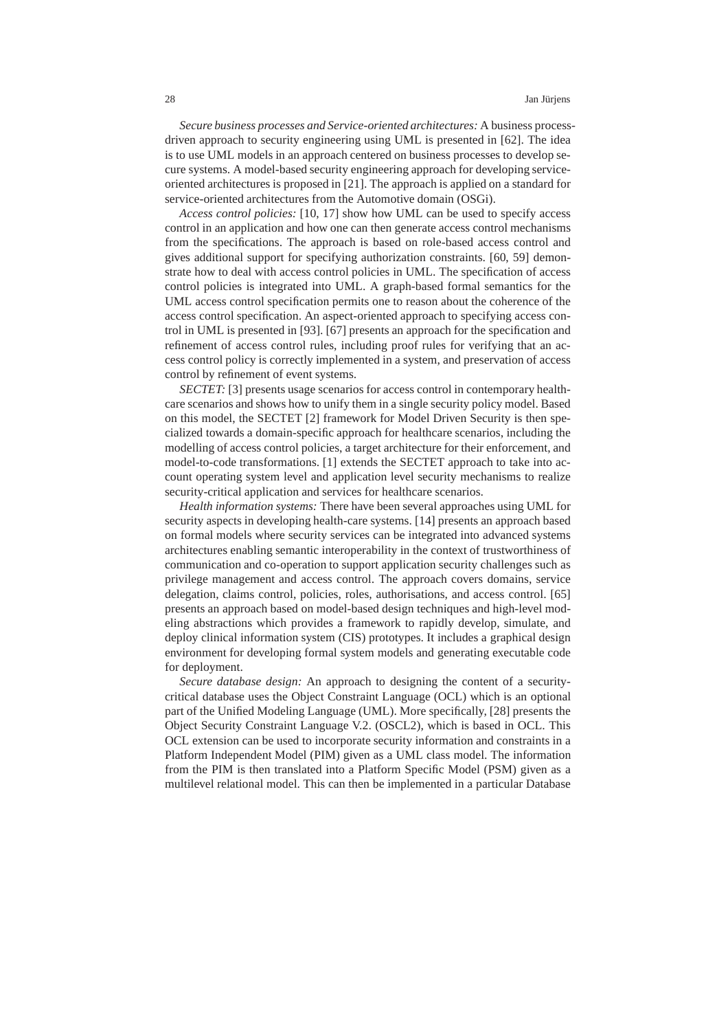*Secure business processes and Service-oriented architectures:* A business processdriven approach to security engineering using UML is presented in [62]. The idea is to use UML models in an approach centered on business processes to develop secure systems. A model-based security engineering approach for developing serviceoriented architectures is proposed in [21]. The approach is applied on a standard for service-oriented architectures from the Automotive domain (OSGi).

*Access control policies:* [10, 17] show how UML can be used to specify access control in an application and how one can then generate access control mechanisms from the specifications. The approach is based on role-based access control and gives additional support for specifying authorization constraints. [60, 59] demonstrate how to deal with access control policies in UML. The specification of access control policies is integrated into UML. A graph-based formal semantics for the UML access control specification permits one to reason about the coherence of the access control specification. An aspect-oriented approach to specifying access control in UML is presented in [93]. [67] presents an approach for the specification and refinement of access control rules, including proof rules for verifying that an access control policy is correctly implemented in a system, and preservation of access control by refinement of event systems.

*SECTET:* [3] presents usage scenarios for access control in contemporary healthcare scenarios and shows how to unify them in a single security policy model. Based on this model, the SECTET [2] framework for Model Driven Security is then specialized towards a domain-specific approach for healthcare scenarios, including the modelling of access control policies, a target architecture for their enforcement, and model-to-code transformations. [1] extends the SECTET approach to take into account operating system level and application level security mechanisms to realize security-critical application and services for healthcare scenarios.

*Health information systems:* There have been several approaches using UML for security aspects in developing health-care systems. [14] presents an approach based on formal models where security services can be integrated into advanced systems architectures enabling semantic interoperability in the context of trustworthiness of communication and co-operation to support application security challenges such as privilege management and access control. The approach covers domains, service delegation, claims control, policies, roles, authorisations, and access control. [65] presents an approach based on model-based design techniques and high-level modeling abstractions which provides a framework to rapidly develop, simulate, and deploy clinical information system (CIS) prototypes. It includes a graphical design environment for developing formal system models and generating executable code for deployment.

*Secure database design:* An approach to designing the content of a securitycritical database uses the Object Constraint Language (OCL) which is an optional part of the Unified Modeling Language (UML). More specifically, [28] presents the Object Security Constraint Language V.2. (OSCL2), which is based in OCL. This OCL extension can be used to incorporate security information and constraints in a Platform Independent Model (PIM) given as a UML class model. The information from the PIM is then translated into a Platform Specific Model (PSM) given as a multilevel relational model. This can then be implemented in a particular Database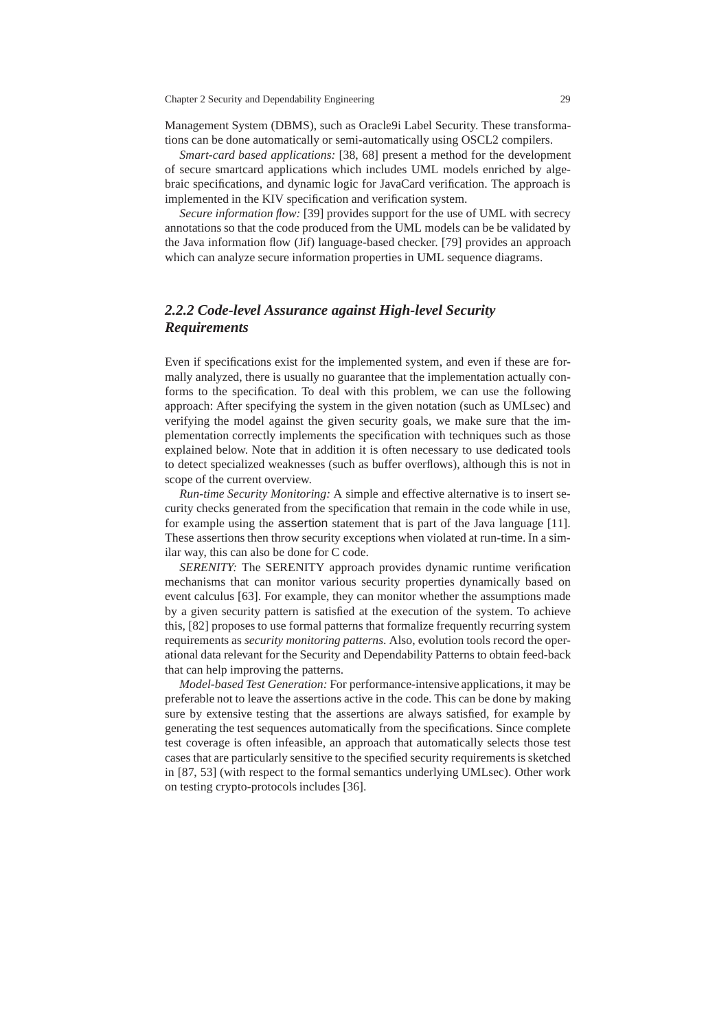Management System (DBMS), such as Oracle9i Label Security. These transformations can be done automatically or semi-automatically using OSCL2 compilers.

*Smart-card based applications:* [38, 68] present a method for the development of secure smartcard applications which includes UML models enriched by algebraic specifications, and dynamic logic for JavaCard verification. The approach is implemented in the KIV specification and verification system.

*Secure information flow:* [39] provides support for the use of UML with secrecy annotations so that the code produced from the UML models can be be validated by the Java information flow (Jif) language-based checker. [79] provides an approach which can analyze secure information properties in UML sequence diagrams.

## *2.2.2 Code-level Assurance against High-level Security Requirements*

Even if specifications exist for the implemented system, and even if these are formally analyzed, there is usually no guarantee that the implementation actually conforms to the specification. To deal with this problem, we can use the following approach: After specifying the system in the given notation (such as UMLsec) and verifying the model against the given security goals, we make sure that the implementation correctly implements the specification with techniques such as those explained below. Note that in addition it is often necessary to use dedicated tools to detect specialized weaknesses (such as buffer overflows), although this is not in scope of the current overview.

*Run-time Security Monitoring:* A simple and effective alternative is to insert security checks generated from the specification that remain in the code while in use, for example using the assertion statement that is part of the Java language [11]. These assertions then throw security exceptions when violated at run-time. In a similar way, this can also be done for C code.

*SERENITY:* The SERENITY approach provides dynamic runtime verification mechanisms that can monitor various security properties dynamically based on event calculus [63]. For example, they can monitor whether the assumptions made by a given security pattern is satisfied at the execution of the system. To achieve this, [82] proposes to use formal patterns that formalize frequently recurring system requirements as *security monitoring patterns*. Also, evolution tools record the operational data relevant for the Security and Dependability Patterns to obtain feed-back that can help improving the patterns.

*Model-based Test Generation:* For performance-intensive applications, it may be preferable not to leave the assertions active in the code. This can be done by making sure by extensive testing that the assertions are always satisfied, for example by generating the test sequences automatically from the specifications. Since complete test coverage is often infeasible, an approach that automatically selects those test cases that are particularly sensitive to the specified security requirements is sketched in [87, 53] (with respect to the formal semantics underlying UMLsec). Other work on testing crypto-protocols includes [36].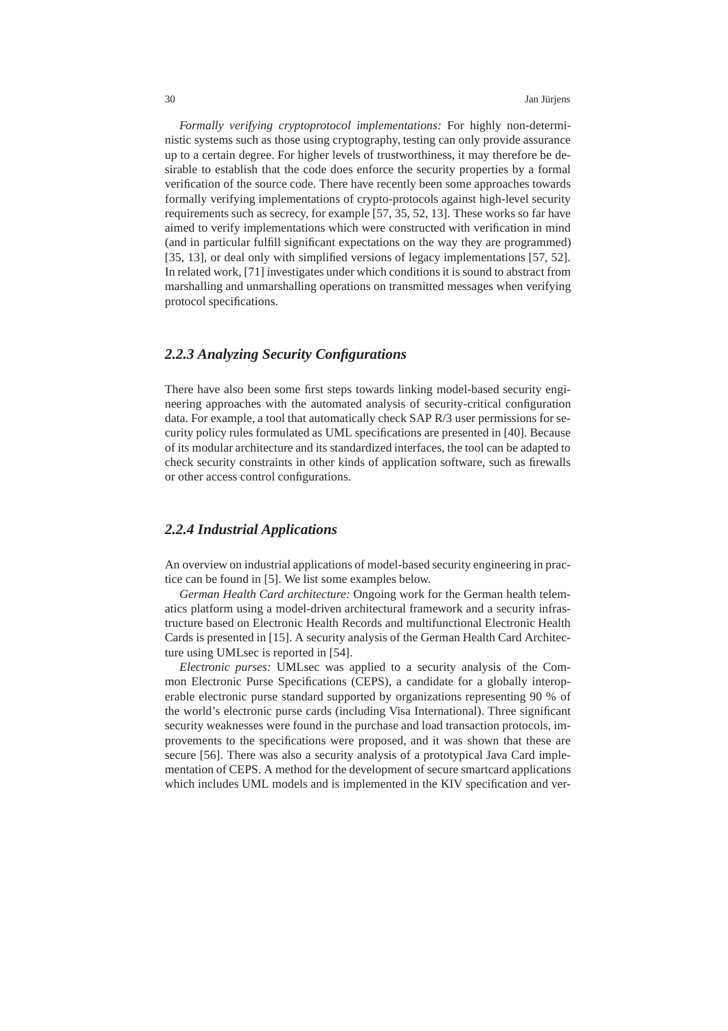*Formally verifying cryptoprotocol implementations:* For highly non-deterministic systems such as those using cryptography, testing can only provide assurance up to a certain degree. For higher levels of trustworthiness, it may therefore be desirable to establish that the code does enforce the security properties by a formal verification of the source code. There have recently been some approaches towards formally verifying implementations of crypto-protocols against high-level security requirements such as secrecy, for example [57, 35, 52, 13]. These works so far have aimed to verify implementations which were constructed with verification in mind (and in particular fulfill significant expectations on the way they are programmed) [35, 13], or deal only with simplified versions of legacy implementations [57, 52]. In related work, [71] investigates under which conditions it is sound to abstract from marshalling and unmarshalling operations on transmitted messages when verifying protocol specifications.

### *2.2.3 Analyzing Security Configurations*

There have also been some first steps towards linking model-based security engineering approaches with the automated analysis of security-critical configuration data. For example, a tool that automatically check SAP R/3 user permissions for security policy rules formulated as UML specifications are presented in [40]. Because of its modular architecture and its standardized interfaces, the tool can be adapted to check security constraints in other kinds of application software, such as firewalls or other access control configurations.

### *2.2.4 Industrial Applications*

An overview on industrial applications of model-based security engineering in practice can be found in [5]. We list some examples below.

*German Health Card architecture:* Ongoing work for the German health telematics platform using a model-driven architectural framework and a security infrastructure based on Electronic Health Records and multifunctional Electronic Health Cards is presented in [15]. A security analysis of the German Health Card Architecture using UMLsec is reported in [54].

*Electronic purses:* UMLsec was applied to a security analysis of the Common Electronic Purse Specifications (CEPS), a candidate for a globally interoperable electronic purse standard supported by organizations representing 90 % of the world's electronic purse cards (including Visa International). Three significant security weaknesses were found in the purchase and load transaction protocols, improvements to the specifications were proposed, and it was shown that these are secure [56]. There was also a security analysis of a prototypical Java Card implementation of CEPS. A method for the development of secure smartcard applications which includes UML models and is implemented in the KIV specification and ver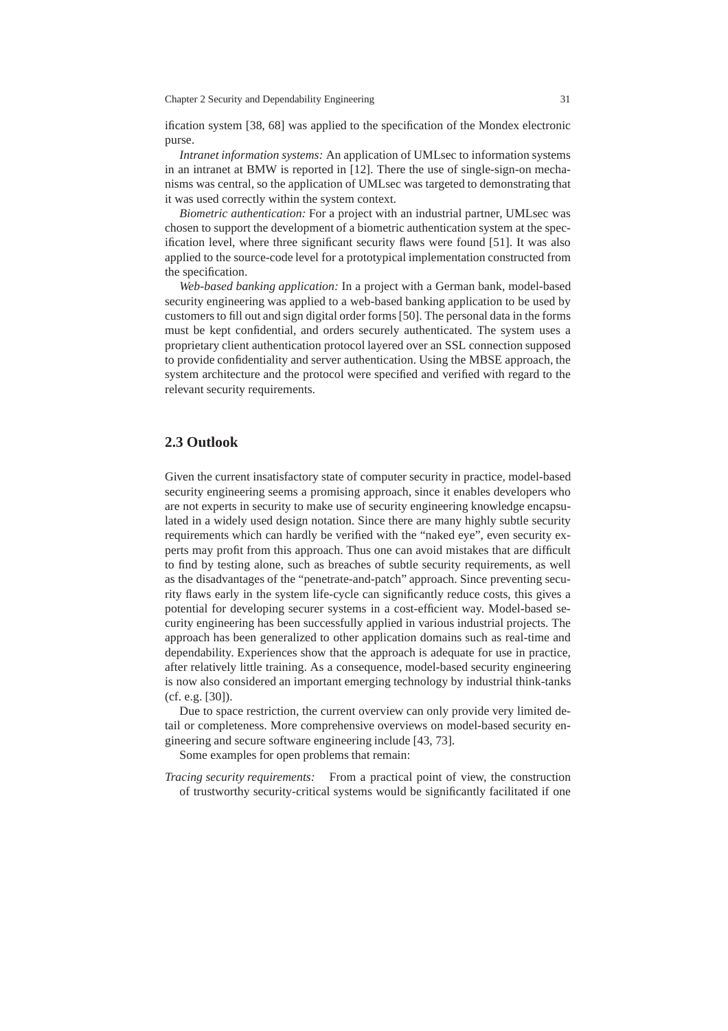Chapter 2 Security and Dependability Engineering 31

ification system [38, 68] was applied to the specification of the Mondex electronic purse.

*Intranet information systems:* An application of UMLsec to information systems in an intranet at BMW is reported in [12]. There the use of single-sign-on mechanisms was central, so the application of UMLsec was targeted to demonstrating that it was used correctly within the system context.

*Biometric authentication:* For a project with an industrial partner, UMLsec was chosen to support the development of a biometric authentication system at the specification level, where three significant security flaws were found [51]. It was also applied to the source-code level for a prototypical implementation constructed from the specification.

*Web-based banking application:* In a project with a German bank, model-based security engineering was applied to a web-based banking application to be used by customers to fill out and sign digital order forms [50]. The personal data in the forms must be kept confidential, and orders securely authenticated. The system uses a proprietary client authentication protocol layered over an SSL connection supposed to provide confidentiality and server authentication. Using the MBSE approach, the system architecture and the protocol were specified and verified with regard to the relevant security requirements.

### **2.3 Outlook**

Given the current insatisfactory state of computer security in practice, model-based security engineering seems a promising approach, since it enables developers who are not experts in security to make use of security engineering knowledge encapsulated in a widely used design notation. Since there are many highly subtle security requirements which can hardly be verified with the "naked eye", even security experts may profit from this approach. Thus one can avoid mistakes that are difficult to find by testing alone, such as breaches of subtle security requirements, as well as the disadvantages of the "penetrate-and-patch" approach. Since preventing security flaws early in the system life-cycle can significantly reduce costs, this gives a potential for developing securer systems in a cost-efficient way. Model-based security engineering has been successfully applied in various industrial projects. The approach has been generalized to other application domains such as real-time and dependability. Experiences show that the approach is adequate for use in practice, after relatively little training. As a consequence, model-based security engineering is now also considered an important emerging technology by industrial think-tanks (cf. e.g. [30]).

Due to space restriction, the current overview can only provide very limited detail or completeness. More comprehensive overviews on model-based security engineering and secure software engineering include [43, 73].

Some examples for open problems that remain:

*Tracing security requirements:* From a practical point of view, the construction of trustworthy security-critical systems would be significantly facilitated if one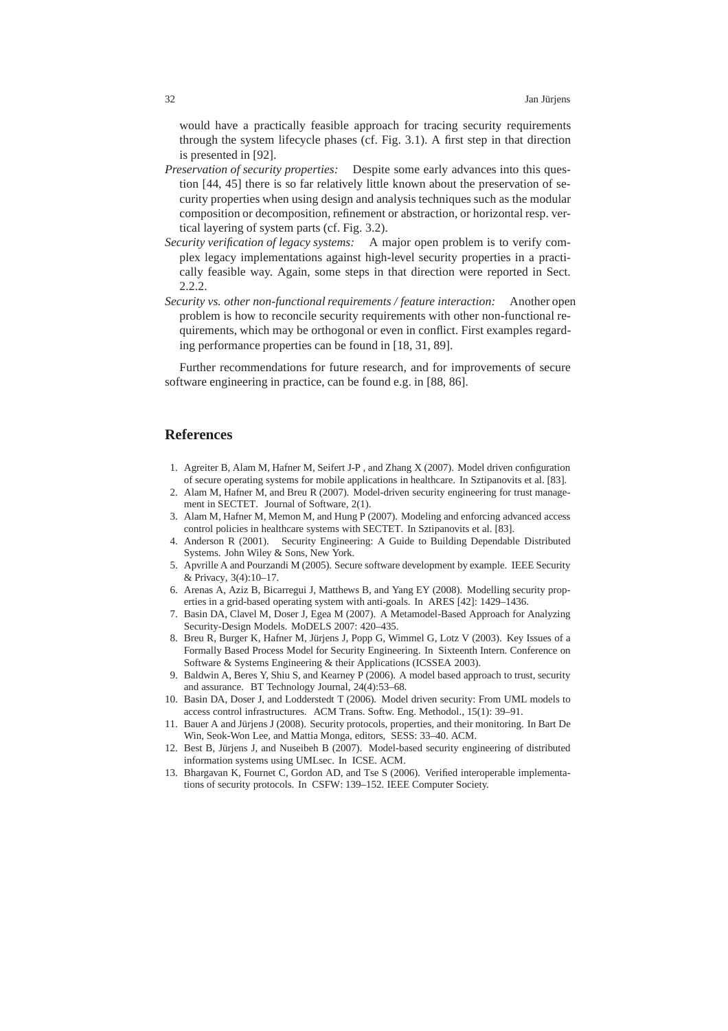would have a practically feasible approach for tracing security requirements through the system lifecycle phases (cf. Fig. 3.1). A first step in that direction is presented in [92].

- *Preservation of security properties:* Despite some early advances into this question [44, 45] there is so far relatively little known about the preservation of security properties when using design and analysis techniques such as the modular composition or decomposition, refinement or abstraction, or horizontal resp. vertical layering of system parts (cf. Fig. 3.2).
- *Security verification of legacy systems:* A major open problem is to verify complex legacy implementations against high-level security properties in a practically feasible way. Again, some steps in that direction were reported in Sect. 2.2.2.
- *Security vs. other non-functional requirements / feature interaction:* Another open problem is how to reconcile security requirements with other non-functional requirements, which may be orthogonal or even in conflict. First examples regarding performance properties can be found in [18, 31, 89].

Further recommendations for future research, and for improvements of secure software engineering in practice, can be found e.g. in [88, 86].

### **References**

- 1. Agreiter B, Alam M, Hafner M, Seifert J-P , and Zhang X (2007). Model driven configuration of secure operating systems for mobile applications in healthcare. In Sztipanovits et al. [83].
- 2. Alam M, Hafner M, and Breu R (2007). Model-driven security engineering for trust management in SECTET. Journal of Software, 2(1).
- 3. Alam M, Hafner M, Memon M, and Hung P (2007). Modeling and enforcing advanced access control policies in healthcare systems with SECTET. In Sztipanovits et al. [83].
- 4. Anderson R (2001). Security Engineering: A Guide to Building Dependable Distributed Systems. John Wiley & Sons, New York.
- 5. Apvrille A and Pourzandi M (2005). Secure software development by example. IEEE Security & Privacy, 3(4):10–17.
- 6. Arenas A, Aziz B, Bicarregui J, Matthews B, and Yang EY (2008). Modelling security properties in a grid-based operating system with anti-goals. In ARES [42]: 1429–1436.
- 7. Basin DA, Clavel M, Doser J, Egea M (2007). A Metamodel-Based Approach for Analyzing Security-Design Models. MoDELS 2007: 420–435.
- 8. Breu R, Burger K, Hafner M, Jürjens J, Popp G, Wimmel G, Lotz V (2003). Key Issues of a Formally Based Process Model for Security Engineering. In Sixteenth Intern. Conference on Software & Systems Engineering & their Applications (ICSSEA 2003).
- 9. Baldwin A, Beres Y, Shiu S, and Kearney P (2006). A model based approach to trust, security and assurance. BT Technology Journal, 24(4):53–68.
- 10. Basin DA, Doser J, and Lodderstedt T (2006). Model driven security: From UML models to access control infrastructures. ACM Trans. Softw. Eng. Methodol., 15(1): 39–91.
- 11. Bauer A and Jürjens J (2008). Security protocols, properties, and their monitoring. In Bart De Win, Seok-Won Lee, and Mattia Monga, editors, SESS: 33–40. ACM.
- 12. Best B, Jürjens J, and Nuseibeh B (2007). Model-based security engineering of distributed information systems using UMLsec. In ICSE. ACM.
- 13. Bhargavan K, Fournet C, Gordon AD, and Tse S (2006). Verified interoperable implementations of security protocols. In CSFW: 139–152. IEEE Computer Society.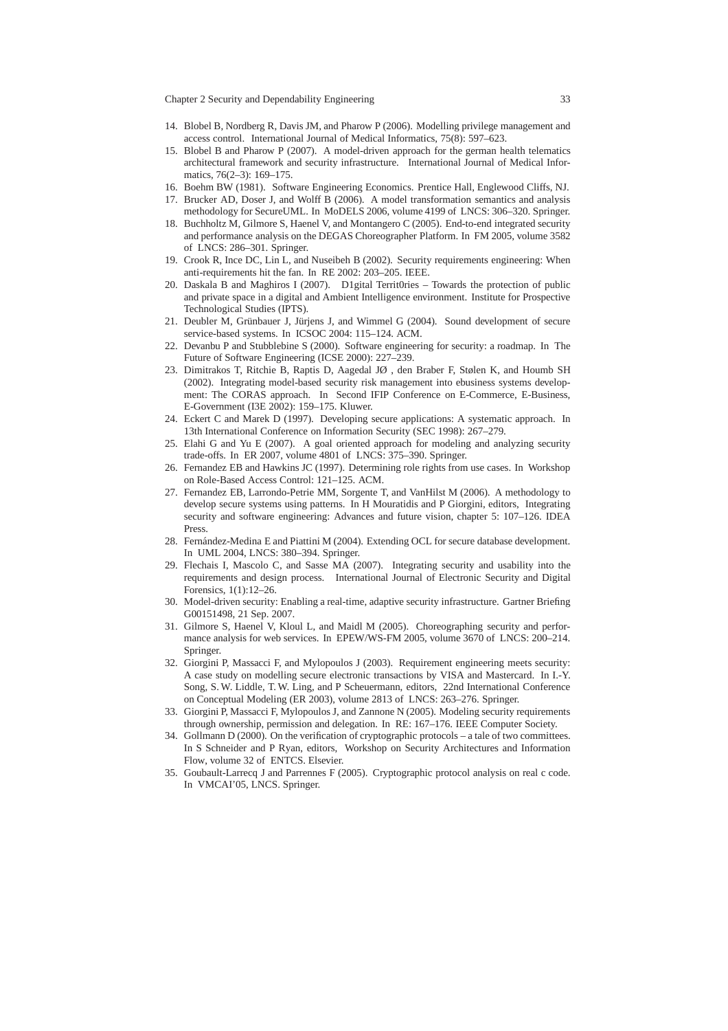Chapter 2 Security and Dependability Engineering 33

- 14. Blobel B, Nordberg R, Davis JM, and Pharow P (2006). Modelling privilege management and access control. International Journal of Medical Informatics, 75(8): 597–623.
- 15. Blobel B and Pharow P (2007). A model-driven approach for the german health telematics architectural framework and security infrastructure. International Journal of Medical Informatics, 76(2–3): 169–175.
- 16. Boehm BW (1981). Software Engineering Economics. Prentice Hall, Englewood Cliffs, NJ.
- 17. Brucker AD, Doser J, and Wolff B (2006). A model transformation semantics and analysis methodology for SecureUML. In MoDELS 2006, volume 4199 of LNCS: 306–320. Springer.
- 18. Buchholtz M, Gilmore S, Haenel V, and Montangero C (2005). End-to-end integrated security and performance analysis on the DEGAS Choreographer Platform. In FM 2005, volume 3582 of LNCS: 286–301. Springer.
- 19. Crook R, Ince DC, Lin L, and Nuseibeh B (2002). Security requirements engineering: When anti-requirements hit the fan. In RE 2002: 203–205. IEEE.
- 20. Daskala B and Maghiros I (2007). D1gital Territ0ries Towards the protection of public and private space in a digital and Ambient Intelligence environment. Institute for Prospective Technological Studies (IPTS).
- 21. Deubler M, Grünbauer J, Jürjens J, and Wimmel G (2004). Sound development of secure service-based systems. In ICSOC 2004: 115–124. ACM.
- 22. Devanbu P and Stubblebine S (2000). Software engineering for security: a roadmap. In The Future of Software Engineering (ICSE 2000): 227–239.
- 23. Dimitrakos T, Ritchie B, Raptis D, Aagedal JØ , den Braber F, Stølen K, and Houmb SH (2002). Integrating model-based security risk management into ebusiness systems development: The CORAS approach. In Second IFIP Conference on E-Commerce, E-Business, E-Government (I3E 2002): 159–175. Kluwer.
- 24. Eckert C and Marek D (1997). Developing secure applications: A systematic approach. In 13th International Conference on Information Security (SEC 1998): 267–279.
- 25. Elahi G and Yu E (2007). A goal oriented approach for modeling and analyzing security trade-offs. In ER 2007, volume 4801 of LNCS: 375–390. Springer.
- 26. Fernandez EB and Hawkins JC (1997). Determining role rights from use cases. In Workshop on Role-Based Access Control: 121–125. ACM.
- 27. Fernandez EB, Larrondo-Petrie MM, Sorgente T, and VanHilst M (2006). A methodology to develop secure systems using patterns. In H Mouratidis and P Giorgini, editors, Integrating security and software engineering: Advances and future vision, chapter 5: 107–126. IDEA Press.
- 28. Fernández-Medina E and Piattini M (2004). Extending OCL for secure database development. In UML 2004, LNCS: 380–394. Springer.
- 29. Flechais I, Mascolo C, and Sasse MA (2007). Integrating security and usability into the requirements and design process. International Journal of Electronic Security and Digital Forensics, 1(1):12–26.
- 30. Model-driven security: Enabling a real-time, adaptive security infrastructure. Gartner Briefing G00151498, 21 Sep. 2007.
- 31. Gilmore S, Haenel V, Kloul L, and Maidl M (2005). Choreographing security and performance analysis for web services. In EPEW/WS-FM 2005, volume 3670 of LNCS: 200–214. Springer.
- 32. Giorgini P, Massacci F, and Mylopoulos J (2003). Requirement engineering meets security: A case study on modelling secure electronic transactions by VISA and Mastercard. In I.-Y. Song, S. W. Liddle, T. W. Ling, and P Scheuermann, editors, 22nd International Conference on Conceptual Modeling (ER 2003), volume 2813 of LNCS: 263–276. Springer.
- 33. Giorgini P, Massacci F, Mylopoulos J, and Zannone N (2005). Modeling security requirements through ownership, permission and delegation. In RE: 167–176. IEEE Computer Society.
- 34. Gollmann D (2000). On the verification of cryptographic protocols a tale of two committees. In S Schneider and P Ryan, editors, Workshop on Security Architectures and Information Flow, volume 32 of ENTCS. Elsevier.
- 35. Goubault-Larrecq J and Parrennes F (2005). Cryptographic protocol analysis on real c code. In VMCAI'05, LNCS. Springer.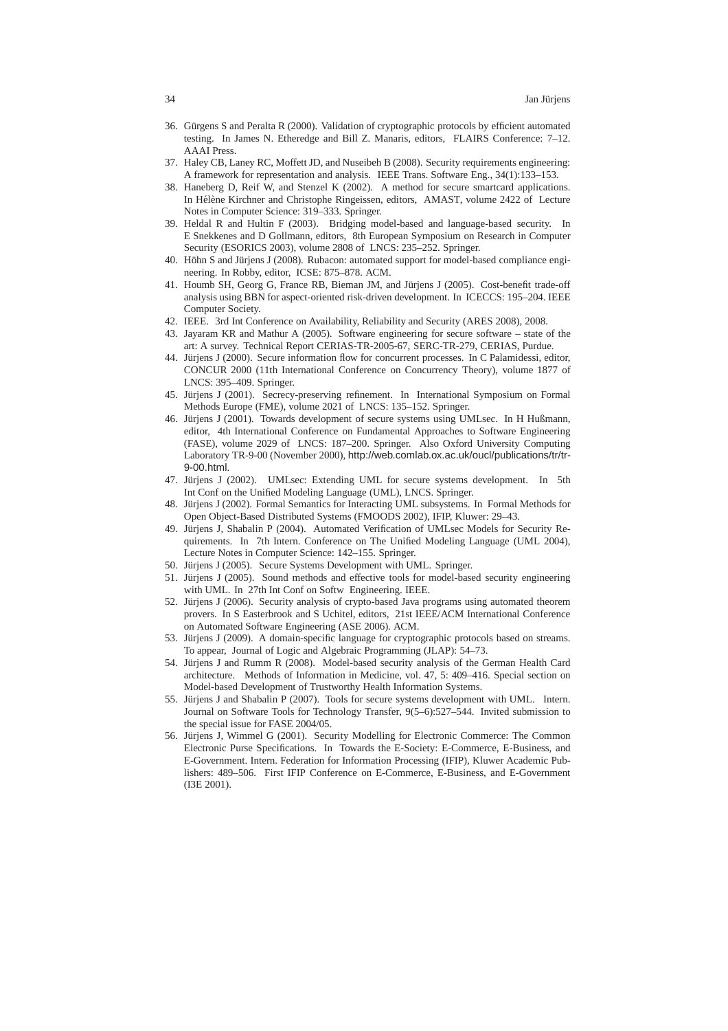- 36. Gürgens S and Peralta R (2000). Validation of cryptographic protocols by efficient automated testing. In James N. Etheredge and Bill Z. Manaris, editors, FLAIRS Conference: 7–12. AAAI Press.
- 37. Haley CB, Laney RC, Moffett JD, and Nuseibeh B (2008). Security requirements engineering: A framework for representation and analysis. IEEE Trans. Software Eng., 34(1):133–153.
- 38. Haneberg D, Reif W, and Stenzel K (2002). A method for secure smartcard applications. In Hélène Kirchner and Christophe Ringeissen, editors, AMAST, volume 2422 of Lecture Notes in Computer Science: 319–333. Springer.
- 39. Heldal R and Hultin F (2003). Bridging model-based and language-based security. In E Snekkenes and D Gollmann, editors, 8th European Symposium on Research in Computer Security (ESORICS 2003), volume 2808 of LNCS: 235–252. Springer.
- 40. Höhn S and Jürjens J (2008). Rubacon: automated support for model-based compliance engineering. In Robby, editor, ICSE: 875–878. ACM.
- 41. Houmb SH, Georg G, France RB, Bieman JM, and Jürjens J (2005). Cost-benefit trade-off analysis using BBN for aspect-oriented risk-driven development. In ICECCS: 195–204. IEEE Computer Society.
- 42. IEEE. 3rd Int Conference on Availability, Reliability and Security (ARES 2008), 2008.
- 43. Jayaram KR and Mathur A (2005). Software engineering for secure software state of the art: A survey. Technical Report CERIAS-TR-2005-67, SERC-TR-279, CERIAS, Purdue.
- 44. Jürjens J (2000). Secure information flow for concurrent processes. In C Palamidessi, editor, CONCUR 2000 (11th International Conference on Concurrency Theory), volume 1877 of LNCS: 395–409. Springer.
- 45. Jürjens J (2001). Secrecy-preserving refinement. In International Symposium on Formal Methods Europe (FME), volume 2021 of LNCS: 135–152. Springer.
- 46. Jürjens J (2001). Towards development of secure systems using UMLsec. In H Hußmann, editor, 4th International Conference on Fundamental Approaches to Software Engineering (FASE), volume 2029 of LNCS: 187–200. Springer. Also Oxford University Computing Laboratory TR-9-00 (November 2000), http://web.comlab.ox.ac.uk/oucl/publications/tr/tr-9-00.html.
- 47. Jürjens J (2002). UMLsec: Extending UML for secure systems development. In 5th Int Conf on the Unified Modeling Language (UML), LNCS. Springer.
- 48. Jürjens J (2002). Formal Semantics for Interacting UML subsystems. In Formal Methods for Open Object-Based Distributed Systems (FMOODS 2002), IFIP, Kluwer: 29–43.
- 49. Jürjens J, Shabalin P (2004). Automated Verification of UMLsec Models for Security Requirements. In 7th Intern. Conference on The Unified Modeling Language (UML 2004), Lecture Notes in Computer Science: 142–155. Springer.
- 50. Jürjens J (2005). Secure Systems Development with UML. Springer.
- 51. Jürjens J (2005). Sound methods and effective tools for model-based security engineering with UML. In 27th Int Conf on Softw Engineering. IEEE.
- 52. Jürjens J (2006). Security analysis of crypto-based Java programs using automated theorem provers. In S Easterbrook and S Uchitel, editors, 21st IEEE/ACM International Conference on Automated Software Engineering (ASE 2006). ACM.
- 53. Jürjens J (2009). A domain-specific language for cryptographic protocols based on streams. To appear, Journal of Logic and Algebraic Programming (JLAP): 54–73.
- 54. Jürjens J and Rumm R (2008). Model-based security analysis of the German Health Card architecture. Methods of Information in Medicine, vol. 47, 5: 409–416. Special section on Model-based Development of Trustworthy Health Information Systems.
- 55. Jürjens J and Shabalin P (2007). Tools for secure systems development with UML. Intern. Journal on Software Tools for Technology Transfer, 9(5–6):527–544. Invited submission to the special issue for FASE 2004/05.
- 56. Jürjens J, Wimmel G (2001). Security Modelling for Electronic Commerce: The Common Electronic Purse Specifications. In Towards the E-Society: E-Commerce, E-Business, and E-Government. Intern. Federation for Information Processing (IFIP), Kluwer Academic Publishers: 489–506. First IFIP Conference on E-Commerce, E-Business, and E-Government (I3E 2001).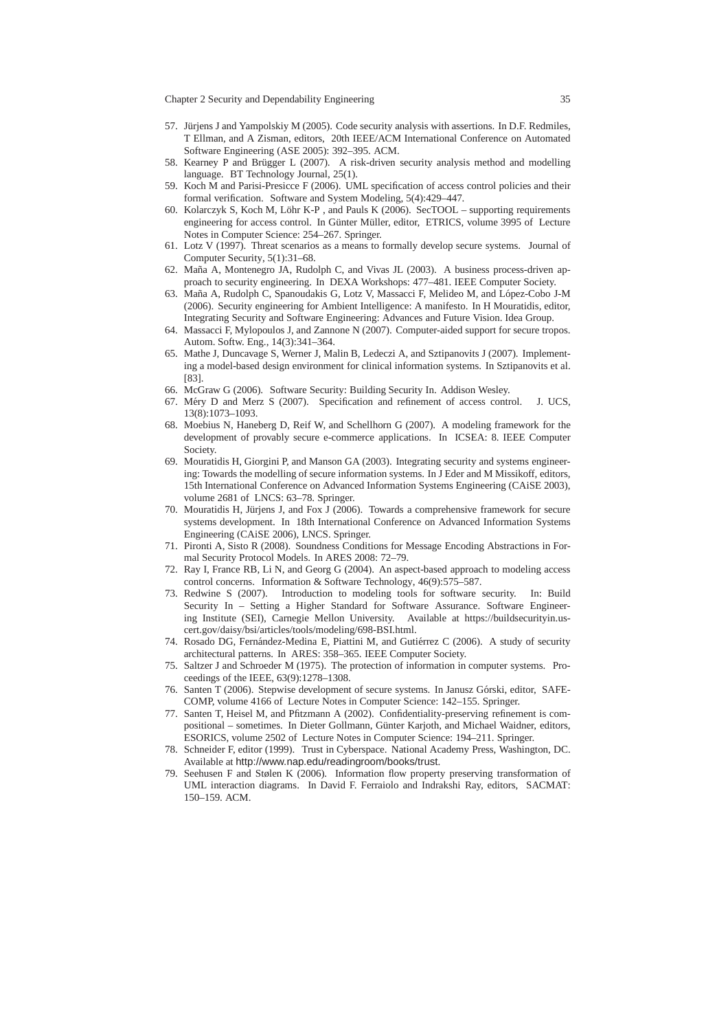- 57. Jürjens J and Yampolskiy M (2005). Code security analysis with assertions. In D.F. Redmiles, T Ellman, and A Zisman, editors, 20th IEEE/ACM International Conference on Automated Software Engineering (ASE 2005): 392–395. ACM.
- 58. Kearney P and Brügger L (2007). A risk-driven security analysis method and modelling language. BT Technology Journal, 25(1).
- 59. Koch M and Parisi-Presicce F (2006). UML specification of access control policies and their formal verification. Software and System Modeling, 5(4):429–447.
- 60. Kolarczyk S, Koch M, Löhr K-P, and Pauls K (2006). SecTOOL supporting requirements engineering for access control. In Günter Müller, editor, ETRICS, volume 3995 of Lecture Notes in Computer Science: 254–267. Springer.
- 61. Lotz V (1997). Threat scenarios as a means to formally develop secure systems. Journal of Computer Security, 5(1):31–68.
- 62. Maña A, Montenegro JA, Rudolph C, and Vivas JL (2003). A business process-driven approach to security engineering. In DEXA Workshops: 477–481. IEEE Computer Society.
- 63. Maña A, Rudolph C, Spanoudakis G, Lotz V, Massacci F, Melideo M, and López-Cobo J-M (2006). Security engineering for Ambient Intelligence: A manifesto. In H Mouratidis, editor, Integrating Security and Software Engineering: Advances and Future Vision. Idea Group.
- 64. Massacci F, Mylopoulos J, and Zannone N (2007). Computer-aided support for secure tropos. Autom. Softw. Eng., 14(3):341–364.
- 65. Mathe J, Duncavage S, Werner J, Malin B, Ledeczi A, and Sztipanovits J (2007). Implementing a model-based design environment for clinical information systems. In Sztipanovits et al. [83].
- 66. McGraw G (2006). Software Security: Building Security In. Addison Wesley.
- 67. Méry D and Merz S (2007). Specification and refinement of access control. J. UCS, 13(8):1073–1093.
- 68. Moebius N, Haneberg D, Reif W, and Schellhorn G (2007). A modeling framework for the development of provably secure e-commerce applications. In ICSEA: 8. IEEE Computer Society.
- 69. Mouratidis H, Giorgini P, and Manson GA (2003). Integrating security and systems engineering: Towards the modelling of secure information systems. In J Eder and M Missikoff, editors, 15th International Conference on Advanced Information Systems Engineering (CAiSE 2003), volume 2681 of LNCS: 63–78. Springer.
- 70. Mouratidis H, Jürjens J, and Fox J (2006). Towards a comprehensive framework for secure systems development. In 18th International Conference on Advanced Information Systems Engineering (CAiSE 2006), LNCS. Springer.
- 71. Pironti A, Sisto R (2008). Soundness Conditions for Message Encoding Abstractions in Formal Security Protocol Models. In ARES 2008: 72–79.
- 72. Ray I, France RB, Li N, and Georg G (2004). An aspect-based approach to modeling access control concerns. Information & Software Technology, 46(9):575–587.
- 73. Redwine S (2007). Introduction to modeling tools for software security. In: Build Security In – Setting a Higher Standard for Software Assurance. Software Engineering Institute (SEI), Carnegie Mellon University. Available at https://buildsecurityin.uscert.gov/daisy/bsi/articles/tools/modeling/698-BSI.html.
- 74. Rosado DG, Fernández-Medina E, Piattini M, and Gutiérrez C (2006). A study of security architectural patterns. In ARES: 358–365. IEEE Computer Society.
- 75. Saltzer J and Schroeder M (1975). The protection of information in computer systems. Proceedings of the IEEE, 63(9):1278–1308.
- 76. Santen T (2006). Stepwise development of secure systems. In Janusz Górski, editor, SAFE-COMP, volume 4166 of Lecture Notes in Computer Science: 142–155. Springer.
- 77. Santen T, Heisel M, and Pfitzmann A (2002). Confidentiality-preserving refinement is compositional – sometimes. In Dieter Gollmann, Günter Karjoth, and Michael Waidner, editors, ESORICS, volume 2502 of Lecture Notes in Computer Science: 194–211. Springer.
- 78. Schneider F, editor (1999). Trust in Cyberspace. National Academy Press, Washington, DC. Available at http://www.nap.edu/readingroom/books/trust.
- 79. Seehusen F and Stølen K (2006). Information flow property preserving transformation of UML interaction diagrams. In David F. Ferraiolo and Indrakshi Ray, editors, SACMAT: 150–159. ACM.